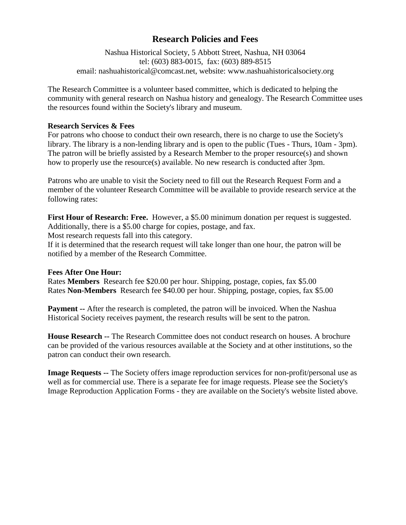## **Research Policies and Fees**

Nashua Historical Society, 5 Abbott Street, Nashua, NH 03064 tel: (603) 883-0015, fax: (603) 889-8515 email: nashuahistorical@comcast.net, website: www.nashuahistoricalsociety.org

The Research Committee is a volunteer based committee, which is dedicated to helping the community with general research on Nashua history and genealogy. The Research Committee uses the resources found within the Society's library and museum.

## **Research Services & Fees**

For patrons who choose to conduct their own research, there is no charge to use the Society's library. The library is a non-lending library and is open to the public (Tues - Thurs, 10am - 3pm). The patron will be briefly assisted by a Research Member to the proper resource(s) and shown how to properly use the resource(s) available. No new research is conducted after 3pm.

Patrons who are unable to visit the Society need to fill out the Research Request Form and a member of the volunteer Research Committee will be available to provide research service at the following rates:

**First Hour of Research: Free.** However, a \$5.00 minimum donation per request is suggested. Additionally, there is a \$5.00 charge for copies, postage, and fax. Most research requests fall into this category.

If it is determined that the research request will take longer than one hour, the patron will be notified by a member of the Research Committee.

## **Fees After One Hour:**

Rates **Members** Research fee \$20.00 per hour. Shipping, postage, copies, fax \$5.00 Rates **Non-Members** Research fee \$40.00 per hour. Shipping, postage, copies, fax \$5.00

**Payment --** After the research is completed, the patron will be invoiced. When the Nashua Historical Society receives payment, the research results will be sent to the patron.

**House Research --** The Research Committee does not conduct research on houses. A brochure can be provided of the various resources available at the Society and at other institutions, so the patron can conduct their own research.

**Image Requests --** The Society offers image reproduction services for non-profit/personal use as well as for commercial use. There is a separate fee for image requests. Please see the Society's Image Reproduction Application Forms - they are available on the Society's website listed above.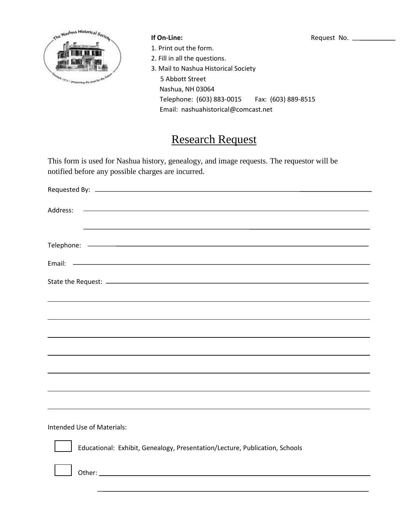

- 1. Print out the form.
- 2. Fill in all the questions.
- 3. Mail to Nashua Historical Society 5 Abbott Street Nashua, NH 03064 Telephone: (603) 883-0015 Fax: (603) 889-8515 Email: nashuahistorical@comcast.net

# Research Request

This form is used for Nashua history, genealogy, and image requests. The requestor will be notified before any possible charges are incurred.

| Address: |  |
|----------|--|
|          |  |
|          |  |
|          |  |
|          |  |
|          |  |
|          |  |
|          |  |
|          |  |
|          |  |
|          |  |
|          |  |

Intended Use of Materials:



Educational: Exhibit, Genealogy, Presentation/Lecture, Publication, Schools

Other: